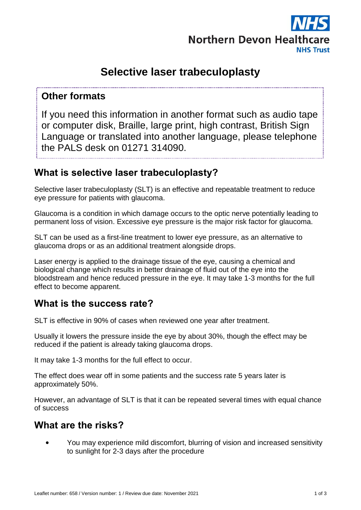

# **Selective laser trabeculoplasty**

# **Other formats**

If you need this information in another format such as audio tape or computer disk, Braille, large print, high contrast, British Sign Language or translated into another language, please telephone the PALS desk on 01271 314090.

# **What is selective laser trabeculoplasty?**

Selective laser trabeculoplasty (SLT) is an effective and repeatable treatment to reduce eye pressure for patients with glaucoma.

Glaucoma is a condition in which damage occurs to the optic nerve potentially leading to permanent loss of vision. Excessive eye pressure is the major risk factor for glaucoma.

SLT can be used as a first-line treatment to lower eye pressure, as an alternative to glaucoma drops or as an additional treatment alongside drops.

Laser energy is applied to the drainage tissue of the eye, causing a chemical and biological change which results in better drainage of fluid out of the eye into the bloodstream and hence reduced pressure in the eye. It may take 1-3 months for the full effect to become apparent.

## **What is the success rate?**

SLT is effective in 90% of cases when reviewed one year after treatment.

Usually it lowers the pressure inside the eye by about 30%, though the effect may be reduced if the patient is already taking glaucoma drops.

It may take 1-3 months for the full effect to occur.

The effect does wear off in some patients and the success rate 5 years later is approximately 50%.

However, an advantage of SLT is that it can be repeated several times with equal chance of success

# **What are the risks?**

• You may experience mild discomfort, blurring of vision and increased sensitivity to sunlight for 2-3 days after the procedure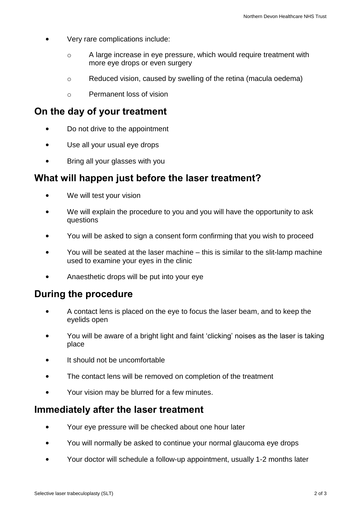- Very rare complications include:
	- o A large increase in eye pressure, which would require treatment with more eye drops or even surgery
	- o Reduced vision, caused by swelling of the retina (macula oedema)
	- o Permanent loss of vision

# **On the day of your treatment**

- Do not drive to the appointment
- Use all your usual eye drops
- Bring all your glasses with you

# **What will happen just before the laser treatment?**

- We will test your vision
- We will explain the procedure to you and you will have the opportunity to ask questions
- You will be asked to sign a consent form confirming that you wish to proceed
- You will be seated at the laser machine this is similar to the slit-lamp machine used to examine your eyes in the clinic
- Anaesthetic drops will be put into your eye

## **During the procedure**

- A contact lens is placed on the eye to focus the laser beam, and to keep the eyelids open
- You will be aware of a bright light and faint 'clicking' noises as the laser is taking place
- It should not be uncomfortable
- The contact lens will be removed on completion of the treatment
- Your vision may be blurred for a few minutes.

## **Immediately after the laser treatment**

- Your eye pressure will be checked about one hour later
- You will normally be asked to continue your normal glaucoma eye drops
- Your doctor will schedule a follow-up appointment, usually 1-2 months later